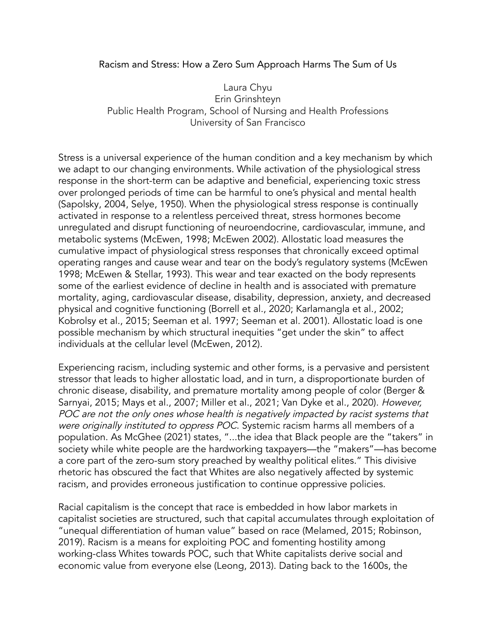## Racism and Stress: How a Zero Sum Approach Harms The Sum of Us

Laura Chyu Erin Grinshteyn Public Health Program, School of Nursing and Health Professions University of San Francisco

Stress is a universal experience of the human condition and a key mechanism by which we adapt to our changing environments. While activation of the physiological stress response in the short-term can be adaptive and beneficial, experiencing toxic stress over prolonged periods of time can be harmful to one's physical and mental health (Sapolsky, 2004, Selye, 1950). When the physiological stress response is continually activated in response to a relentless perceived threat, stress hormones become unregulated and disrupt functioning of neuroendocrine, cardiovascular, immune, and metabolic systems (McEwen, 1998; McEwen 2002). Allostatic load measures the cumulative impact of physiological stress responses that chronically exceed optimal operating ranges and cause wear and tear on the body's regulatory systems (McEwen 1998; McEwen & Stellar, 1993). This wear and tear exacted on the body represents some of the earliest evidence of decline in health and is associated with premature mortality, aging, cardiovascular disease, disability, depression, anxiety, and decreased physical and cognitive functioning (Borrell et al., 2020; Karlamangla et al., 2002; Kobrolsy et al., 2015; Seeman et al. 1997; Seeman et al. 2001). Allostatic load is one possible mechanism by which structural inequities "get under the skin" to affect individuals at the cellular level (McEwen, 2012).

Experiencing racism, including systemic and other forms, is a pervasive and persistent stressor that leads to higher allostatic load, and in turn, a disproportionate burden of chronic disease, disability, and premature mortality among people of color (Berger & Sarnyai, 2015; Mays et al., 2007; Miller et al., 2021; Van Dyke et al., 2020). However, POC are not the only ones whose health is negatively impacted by racist systems that were originally instituted to oppress POC. Systemic racism harms all members of a population. As McGhee (2021) states, "...the idea that Black people are the "takers" in society while white people are the hardworking taxpayers—the "makers"—has become a core part of the zero-sum story preached by wealthy political elites." This divisive rhetoric has obscured the fact that Whites are also negatively affected by systemic racism, and provides erroneous justification to continue oppressive policies.

Racial capitalism is the concept that race is embedded in how labor markets in capitalist societies are structured, such that capital accumulates through exploitation of "unequal differentiation of human value" based on race (Melamed, 2015; Robinson, 2019). Racism is a means for exploiting POC and fomenting hostility among working-class Whites towards POC, such that White capitalists derive social and economic value from everyone else (Leong, 2013). Dating back to the 1600s, the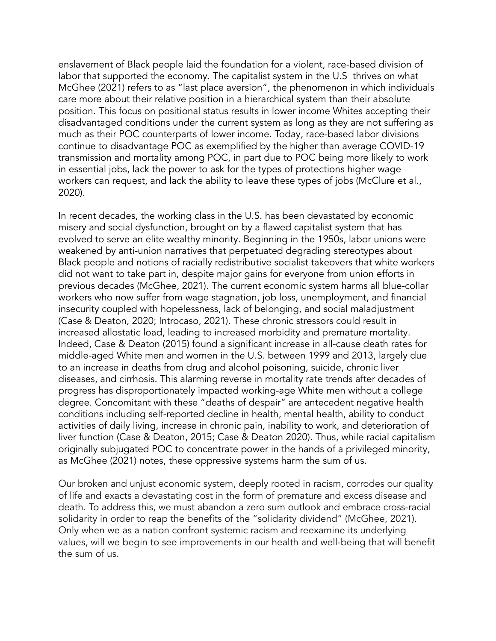enslavement of Black people laid the foundation for a violent, race-based division of labor that supported the economy. The capitalist system in the U.S thrives on what McGhee (2021) refers to as "last place aversion", the phenomenon in which individuals care more about their relative position in a hierarchical system than their absolute position. This focus on positional status results in lower income Whites accepting their disadvantaged conditions under the current system as long as they are not suffering as much as their POC counterparts of lower income. Today, race-based labor divisions continue to disadvantage POC as exemplified by the higher than average COVID-19 transmission and mortality among POC, in part due to POC being more likely to work in essential jobs, lack the power to ask for the types of protections higher wage workers can request, and lack the ability to leave these types of jobs (McClure et al., 2020).

In recent decades, the working class in the U.S. has been devastated by economic misery and social dysfunction, brought on by a flawed capitalist system that has evolved to serve an elite wealthy minority. Beginning in the 1950s, labor unions were weakened by anti-union narratives that perpetuated degrading stereotypes about Black people and notions of racially redistributive socialist takeovers that white workers did not want to take part in, despite major gains for everyone from union efforts in previous decades (McGhee, 2021). The current economic system harms all blue-collar workers who now suffer from wage stagnation, job loss, unemployment, and financial insecurity coupled with hopelessness, lack of belonging, and social maladjustment (Case & Deaton, 2020; Introcaso, 2021). These chronic stressors could result in increased allostatic load, leading to increased morbidity and premature mortality. Indeed, Case & Deaton (2015) found a significant increase in all-cause death rates for middle-aged White men and women in the U.S. between 1999 and 2013, largely due to an increase in deaths from drug and alcohol poisoning, suicide, chronic liver diseases, and cirrhosis. This alarming reverse in mortality rate trends after decades of progress has disproportionately impacted working-age White men without a college degree. Concomitant with these "deaths of despair" are antecedent negative health conditions including self-reported decline in health, mental health, ability to conduct activities of daily living, increase in chronic pain, inability to work, and deterioration of liver function (Case & Deaton, 2015; Case & Deaton 2020). Thus, while racial capitalism originally subjugated POC to concentrate power in the hands of a privileged minority, as McGhee (2021) notes, these oppressive systems harm the sum of us.

Our broken and unjust economic system, deeply rooted in racism, corrodes our quality of life and exacts a devastating cost in the form of premature and excess disease and death. To address this, we must abandon a zero sum outlook and embrace cross-racial solidarity in order to reap the benefits of the "solidarity dividend" (McGhee, 2021). Only when we as a nation confront systemic racism and reexamine its underlying values, will we begin to see improvements in our health and well-being that will benefit the sum of us.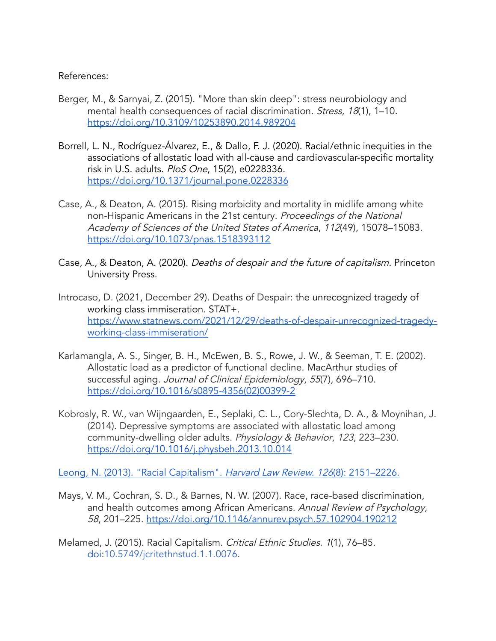References:

- Berger, M., & Sarnyai, Z. (2015). "More than skin deep": stress neurobiology and mental health consequences of racial discrimination. Stress, 18(1), 1-10. <https://doi.org/10.3109/10253890.2014.989204>
- Borrell, L. N., Rodríguez-Álvarez, E., & Dallo, F. J. (2020). Racial/ethnic inequities in the associations of allostatic load with all-cause and cardiovascular-specific mortality risk in U.S. adults. PloS One, 15(2), e0228336. <https://doi.org/10.1371/journal.pone.0228336>
- Case, A., & Deaton, A. (2015). Rising morbidity and mortality in midlife among white non-Hispanic Americans in the 21st century. Proceedings of the National Academy of Sciences of the United States of America, 112(49), 15078–15083. <https://doi.org/10.1073/pnas.1518393112>
- Case, A., & Deaton, A. (2020). Deaths of despair and the future of capitalism. Princeton University Press.
- Introcaso, D. (2021, December 29). Deaths of Despair: the unrecognized tragedy of working class immiseration. STAT+. [https://www.statnews.com/2021/12/29/deaths-of-despair-unrecognized-tragedy](https://www.statnews.com/2021/12/29/deaths-of-despair-unrecognized-tragedy-working-class-immiseration/)[working-class-immiseration/](https://www.statnews.com/2021/12/29/deaths-of-despair-unrecognized-tragedy-working-class-immiseration/)
- Karlamangla, A. S., Singer, B. H., McEwen, B. S., Rowe, J. W., & Seeman, T. E. (2002). Allostatic load as a predictor of functional decline. MacArthur studies of successful aging. Journal of Clinical Epidemiology, <sup>55</sup>(7), 696–710. [https://doi.org/10.1016/s0895-4356\(02\)00399-2](https://doi.org/10.1016/s0895-4356(02)00399-2)
- Kobrosly, R. W., van Wijngaarden, E., Seplaki, C. L., Cory-Slechta, D. A., & Moynihan, J. (2014). Depressive symptoms are associated with allostatic load among community-dwelling older adults. Physiology & Behavior, 123, 223–230. <https://doi.org/10.1016/j.physbeh.2013.10.014>

Leong, N. (2013). "Racial [Capitalism".](https://www.jstor.org/stable/23415098) Harvard Law Review. 126(8): 2151–2226.

Mays, V. M., Cochran, S. D., & Barnes, N. W. (2007). Race, race-based discrimination, and health outcomes among African Americans. Annual Review of Psychology, 58, 201–225. <https://doi.org/10.1146/annurev.psych.57.102904.190212>

Melamed, J. (2015). Racial Capitalism. Critical Ethnic Studies. 1(1), 76–85. [doi](https://en.wikipedia.org/wiki/Doi_(identifier)):[10.5749/jcritethnstud.1.1.0076](https://doi.org/10.5749%2Fjcritethnstud.1.1.0076).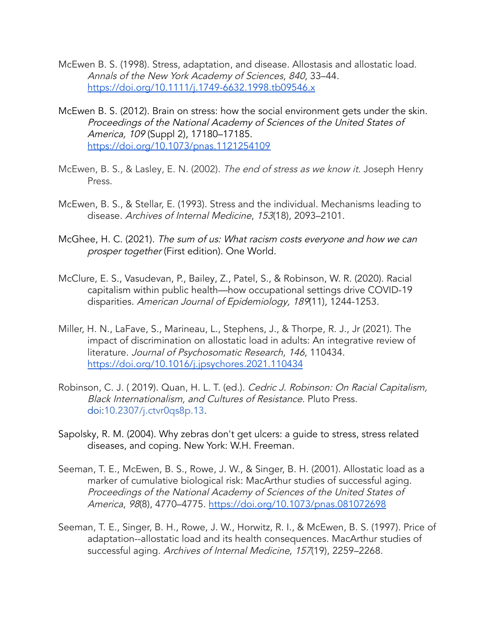- McEwen B. S. (1998). Stress, adaptation, and disease. Allostasis and allostatic load. Annals of the New York Academy of Sciences, 840, 33–44. <https://doi.org/10.1111/j.1749-6632.1998.tb09546.x>
- McEwen B. S. (2012). Brain on stress: how the social environment gets under the skin. Proceedings of the National Academy of Sciences of the United States of America, 109 (Suppl 2), 17180–17185. <https://doi.org/10.1073/pnas.1121254109>
- McEwen, B. S., & Lasley, E. N. (2002). The end of stress as we know it. Joseph Henry Press.
- McEwen, B. S., & Stellar, E. (1993). Stress and the individual. Mechanisms leading to disease. Archives of Internal Medicine, 153(18), 2093–2101.
- [McGhee,](https://www.zotero.org/google-docs/?xPzT3U) H. C. (2021). The sum of us: What racism costs everyone and how we can prosper [together](https://www.zotero.org/google-docs/?xPzT3U) (First edition). One World.
- McClure, E. S., Vasudevan, P., Bailey, Z., Patel, S., & Robinson, W. R. (2020). Racial capitalism within public health—how occupational settings drive COVID-19 disparities. American Journal of Epidemiology, <sup>189</sup>(11), 1244-1253.
- Miller, H. N., LaFave, S., Marineau, L., Stephens, J., & Thorpe, R. J., Jr (2021). The impact of discrimination on allostatic load in adults: An integrative review of literature. Journal of Psychosomatic Research, 146, 110434. <https://doi.org/10.1016/j.jpsychores.2021.110434>
- Robinson, C. J. ( 2019). Quan, H. L. T. (ed.). Cedric J. Robinson: On Racial Capitalism, Black Internationalism, and Cultures of Resistance. Pluto Press. [doi](https://en.wikipedia.org/wiki/Doi_(identifier)):[10.2307/j.ctvr0qs8p.13](https://doi.org/10.2307%2Fj.ctvr0qs8p.13).
- Sapolsky, R. M. (2004). Why zebras don't get ulcers: a guide to stress, stress related diseases, and coping. New York: W.H. Freeman.
- Seeman, T. E., McEwen, B. S., Rowe, J. W., & Singer, B. H. (2001). Allostatic load as a marker of cumulative biological risk: MacArthur studies of successful aging. Proceedings of the National Academy of Sciences of the United States of America, 98(8), 4770-4775. <https://doi.org/10.1073/pnas.081072698>
- Seeman, T. E., Singer, B. H., Rowe, J. W., Horwitz, R. I., & McEwen, B. S. (1997). Price of adaptation--allostatic load and its health consequences. MacArthur studies of successful aging. Archives of Internal Medicine, 157(19), 2259–2268.